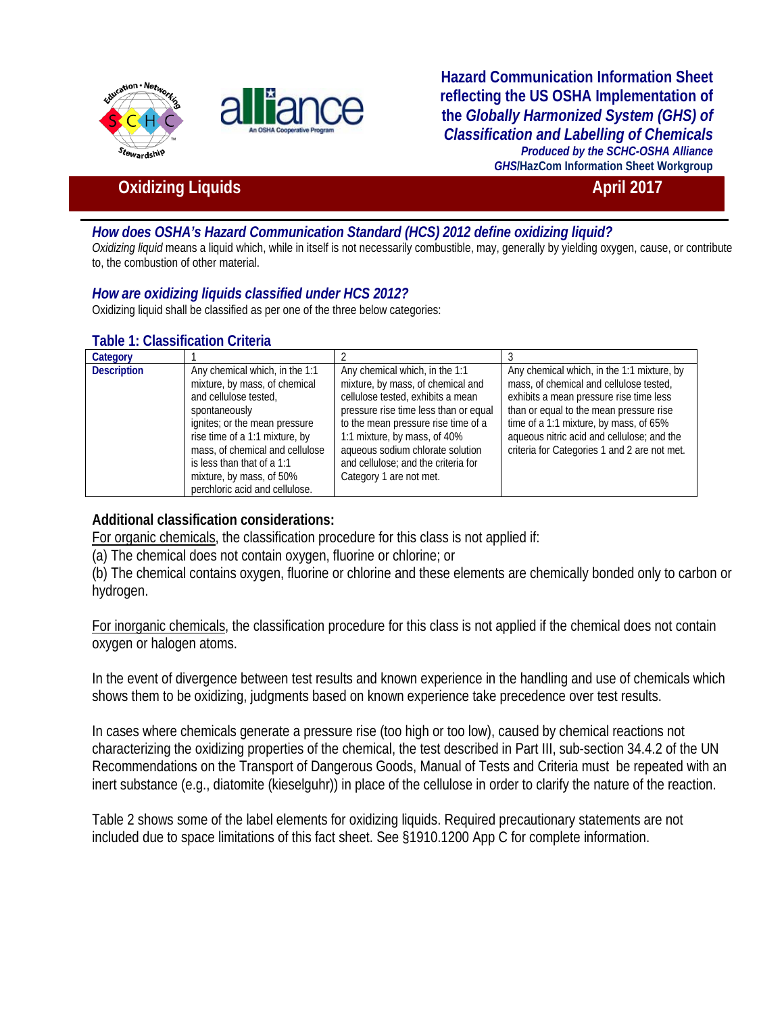



**Hazard Communication Information Sheet reflecting the US OSHA Implementation of the** *Globally Harmonized System (GHS) of Classification and Labelling of Chemicals Produced by the SCHC-OSHA Alliance GHS***/HazCom Information Sheet Workgroup**

# **Oxidizing Liquids April 2017**

## *How does OSHA's Hazard Communication Standard (HCS) 2012 define oxidizing liquid?*

*Oxidizing liquid* means a liquid which, while in itself is not necessarily combustible, may, generally by yielding oxygen, cause, or contribute to, the combustion of other material.

## *How are oxidizing liquids classified under HCS 2012?*

Oxidizing liquid shall be classified as per one of the three below categories:

#### **Table 1: Classification Criteria**

| Category           |                                 |                                       |                                              |
|--------------------|---------------------------------|---------------------------------------|----------------------------------------------|
| <b>Description</b> | Any chemical which, in the 1:1  | Any chemical which, in the 1:1        | Any chemical which, in the 1:1 mixture, by   |
|                    | mixture, by mass, of chemical   | mixture, by mass, of chemical and     | mass, of chemical and cellulose tested,      |
|                    | and cellulose tested,           | cellulose tested, exhibits a mean     | exhibits a mean pressure rise time less      |
|                    | spontaneously                   | pressure rise time less than or equal | than or equal to the mean pressure rise      |
|                    | ignites; or the mean pressure   | to the mean pressure rise time of a   | time of a 1:1 mixture, by mass, of 65%       |
|                    | rise time of a 1:1 mixture, by  | 1:1 mixture, by mass, of 40%          | aqueous nitric acid and cellulose; and the   |
|                    | mass, of chemical and cellulose | aqueous sodium chlorate solution      | criteria for Categories 1 and 2 are not met. |
|                    | is less than that of a 1:1      | and cellulose; and the criteria for   |                                              |
|                    | mixture, by mass, of 50%        | Category 1 are not met.               |                                              |
|                    | perchloric acid and cellulose.  |                                       |                                              |

## **Additional classification considerations:**

For organic chemicals, the classification procedure for this class is not applied if:

(a) The chemical does not contain oxygen, fluorine or chlorine; or

(b) The chemical contains oxygen, fluorine or chlorine and these elements are chemically bonded only to carbon or hydrogen.

For inorganic chemicals, the classification procedure for this class is not applied if the chemical does not contain oxygen or halogen atoms.

In the event of divergence between test results and known experience in the handling and use of chemicals which shows them to be oxidizing, judgments based on known experience take precedence over test results.

In cases where chemicals generate a pressure rise (too high or too low), caused by chemical reactions not characterizing the oxidizing properties of the chemical, the test described in Part III, sub-section 34.4.2 of the UN Recommendations on the Transport of Dangerous Goods, Manual of Tests and Criteria must be repeated with an inert substance (e.g., diatomite (kieselguhr)) in place of the cellulose in order to clarify the nature of the reaction.

Table 2 shows some of the label elements for oxidizing liquids. Required precautionary statements are not included due to space limitations of this fact sheet. See §1910.1200 App C for complete information.